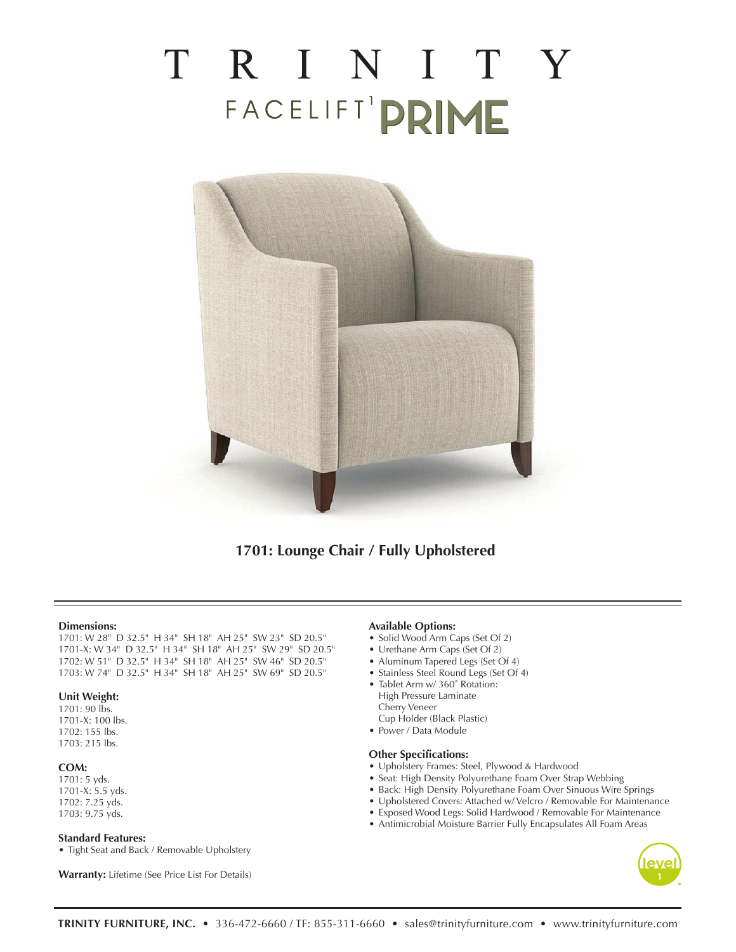# TRINITY FACELIFT' PRIME



**1701: Lounge Chair / Fully Upholstered**

#### **Dimensions:**

1701: W 28" D 32.5" H 34" SH 18" AH 25" SW 23" SD 20.5" 1701-X: W 34" D 32.5" H 34" SH 18" AH 25" SW 29" SD 20.5" 1702: W 51" D 32.5" H 34" SH 18" AH 25" SW 46" SD 20.5" 1703: W 74" D 32.5" H 34" SH 18" AH 25" SW 69" SD 20.5"

#### **Unit Weight:**

1701: 90 lbs. 1701-X: 100 lbs. 1702: 155 lbs. 1703: 215 lbs.

#### **COM:**

1701: 5 yds. 1701-X: 5.5 yds. 1702: 7.25 yds. 1703: 9.75 yds.

### **Standard Features:**

• Tight Seat and Back / Removable Upholstery

**Warranty:** Lifetime (See Price List For Details)

#### **Available Options:**

- Solid Wood Arm Caps (Set Of 2)
- Urethane Arm Caps (Set Of 2)
- Aluminum Tapered Legs (Set Of 4)
- Stainless Steel Round Legs (Set Of 4)
- Tablet Arm w/ 360° Rotation: High Pressure Laminate Cherry Veneer
- Cup Holder (Black Plastic)
- Power / Data Module

#### **Other Specifications:**

- Upholstery Frames: Steel, Plywood & Hardwood
- Seat: High Density Polyurethane Foam Over Strap Webbing
- Back: High Density Polyurethane Foam Over Sinuous Wire Springs
- Upholstered Covers: Attached w/ Velcro / Removable For Maintenance
- Exposed Wood Legs: Solid Hardwood / Removable For Maintenance
- Antimicrobial Moisture Barrier Fully Encapsulates All Foam Areas